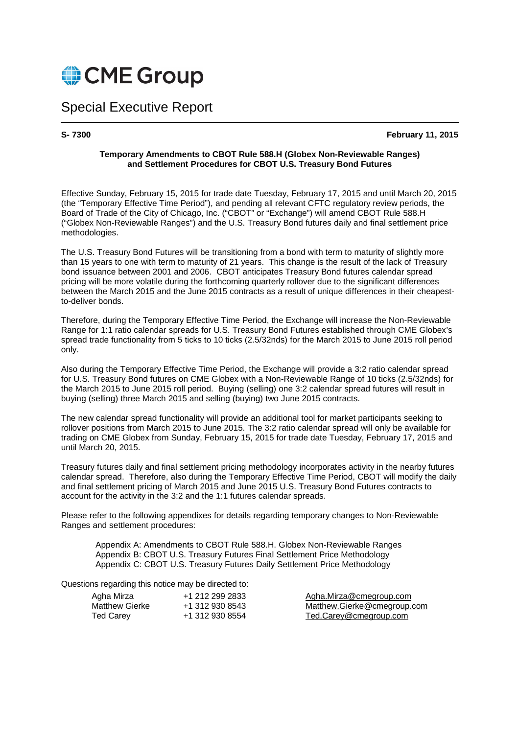

## Special Executive Report

**S- 7300 February 11, 2015**

#### **Temporary Amendments to CBOT Rule 588.H (Globex Non-Reviewable Ranges) and Settlement Procedures for CBOT U.S. Treasury Bond Futures**

Effective Sunday, February 15, 2015 for trade date Tuesday, February 17, 2015 and until March 20, 2015 (the "Temporary Effective Time Period"), and pending all relevant CFTC regulatory review periods, the Board of Trade of the City of Chicago, Inc. ("CBOT" or "Exchange") will amend CBOT Rule 588.H ("Globex Non-Reviewable Ranges") and the U.S. Treasury Bond futures daily and final settlement price methodologies.

The U.S. Treasury Bond Futures will be transitioning from a bond with term to maturity of slightly more than 15 years to one with term to maturity of 21 years. This change is the result of the lack of Treasury bond issuance between 2001 and 2006. CBOT anticipates Treasury Bond futures calendar spread pricing will be more volatile during the forthcoming quarterly rollover due to the significant differences between the March 2015 and the June 2015 contracts as a result of unique differences in their cheapestto-deliver bonds.

Therefore, during the Temporary Effective Time Period, the Exchange will increase the Non-Reviewable Range for 1:1 ratio calendar spreads for U.S. Treasury Bond Futures established through CME Globex's spread trade functionality from 5 ticks to 10 ticks (2.5/32nds) for the March 2015 to June 2015 roll period only.

Also during the Temporary Effective Time Period, the Exchange will provide a 3:2 ratio calendar spread for U.S. Treasury Bond futures on CME Globex with a Non-Reviewable Range of 10 ticks (2.5/32nds) for the March 2015 to June 2015 roll period. Buying (selling) one 3:2 calendar spread futures will result in buying (selling) three March 2015 and selling (buying) two June 2015 contracts.

The new calendar spread functionality will provide an additional tool for market participants seeking to rollover positions from March 2015 to June 2015. The 3:2 ratio calendar spread will only be available for trading on CME Globex from Sunday, February 15, 2015 for trade date Tuesday, February 17, 2015 and until March 20, 2015.

Treasury futures daily and final settlement pricing methodology incorporates activity in the nearby futures calendar spread. Therefore, also during the Temporary Effective Time Period, CBOT will modify the daily and final settlement pricing of March 2015 and June 2015 U.S. Treasury Bond Futures contracts to account for the activity in the 3:2 and the 1:1 futures calendar spreads.

Please refer to the following appendixes for details regarding temporary changes to Non-Reviewable Ranges and settlement procedures:

 Appendix A: Amendments to CBOT Rule 588.H. Globex Non-Reviewable Ranges Appendix B: CBOT U.S. Treasury Futures Final Settlement Price Methodology Appendix C: CBOT U.S. Treasury Futures Daily Settlement Price Methodology

Questions regarding this notice may be directed to:

| Agha Mirza            | +1 212 299 2833 |
|-----------------------|-----------------|
| <b>Matthew Gierke</b> | +1 312 930 8543 |
| <b>Ted Carey</b>      | +1 312 930 8554 |

Agha.Mirza@cmegroup.com Matthew.Gierke@cmegroup.com Ted Carey +1 312 930 8554 Ted.Carey@cmegroup.com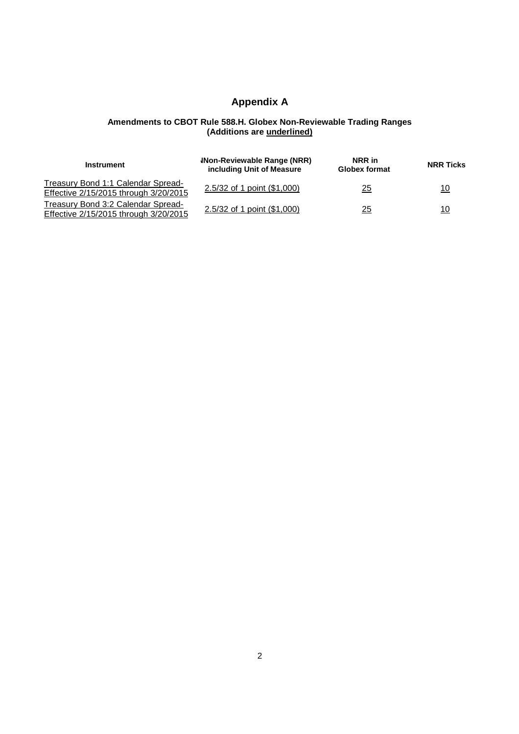## **Appendix A**

#### **Amendments to CBOT Rule 588.H. Globex Non-Reviewable Trading Ranges (Additions are underlined)**

| Instrument                            | <b>INon-Reviewable Range (NRR)</b><br>including Unit of Measure | NRR in<br><b>Globex format</b> | <b>NRR Ticks</b> |
|---------------------------------------|-----------------------------------------------------------------|--------------------------------|------------------|
| Treasury Bond 1:1 Calendar Spread-    | 2.5/32 of 1 point (\$1,000)                                     | $\frac{25}{1}$                 | 10               |
| Effective 2/15/2015 through 3/20/2015 |                                                                 |                                |                  |
| Treasury Bond 3:2 Calendar Spread-    | 2.5/32 of 1 point (\$1,000)                                     |                                |                  |
| Effective 2/15/2015 through 3/20/2015 |                                                                 | 25                             | 10               |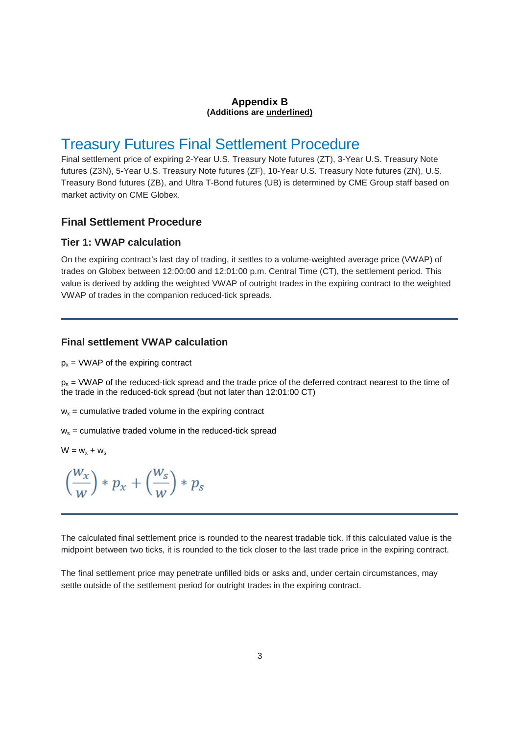#### **Appendix B (Additions are underlined)**

## Treasury Futures Final Settlement Procedure

Final settlement price of expiring 2-Year U.S. Treasury Note futures (ZT), 3-Year U.S. Treasury Note futures (Z3N), 5-Year U.S. Treasury Note futures (ZF), 10-Year U.S. Treasury Note futures (ZN), U.S. Treasury Bond futures (ZB), and Ultra T-Bond futures (UB) is determined by CME Group staff based on market activity on CME Globex.

#### **Final Settlement Procedure**

#### **Tier 1: VWAP calculation**

On the expiring contract's last day of trading, it settles to a volume-weighted average price (VWAP) of trades on Globex between 12:00:00 and 12:01:00 p.m. Central Time (CT), the settlement period. This value is derived by adding the weighted VWAP of outright trades in the expiring contract to the weighted VWAP of trades in the companion reduced-tick spreads.

#### **Final settlement VWAP calculation**

 $p_x$  = VWAP of the expiring contract

 $p_s$  = VWAP of the reduced-tick spread and the trade price of the deferred contract nearest to the time of the trade in the reduced-tick spread (but not later than 12:01:00 CT)

 $w_x$  = cumulative traded volume in the expiring contract

 $w_s$  = cumulative traded volume in the reduced-tick spread

$$
W = w_x + w_s
$$

$$
\left(\frac{w_x}{w}\right)*p_x+\left(\frac{w_s}{w}\right)*p_s
$$

The calculated final settlement price is rounded to the nearest tradable tick. If this calculated value is the midpoint between two ticks, it is rounded to the tick closer to the last trade price in the expiring contract.

The final settlement price may penetrate unfilled bids or asks and, under certain circumstances, may settle outside of the settlement period for outright trades in the expiring contract.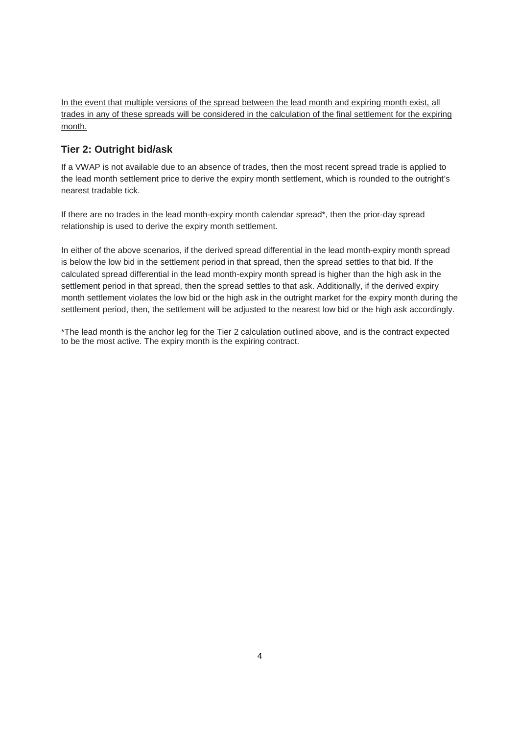In the event that multiple versions of the spread between the lead month and expiring month exist, all trades in any of these spreads will be considered in the calculation of the final settlement for the expiring month.

### **Tier 2: Outright bid/ask**

If a VWAP is not available due to an absence of trades, then the most recent spread trade is applied to the lead month settlement price to derive the expiry month settlement, which is rounded to the outright's nearest tradable tick.

If there are no trades in the lead month-expiry month calendar spread\*, then the prior-day spread relationship is used to derive the expiry month settlement.

In either of the above scenarios, if the derived spread differential in the lead month-expiry month spread is below the low bid in the settlement period in that spread, then the spread settles to that bid. If the calculated spread differential in the lead month-expiry month spread is higher than the high ask in the settlement period in that spread, then the spread settles to that ask. Additionally, if the derived expiry month settlement violates the low bid or the high ask in the outright market for the expiry month during the settlement period, then, the settlement will be adjusted to the nearest low bid or the high ask accordingly.

\*The lead month is the anchor leg for the Tier 2 calculation outlined above, and is the contract expected to be the most active. The expiry month is the expiring contract.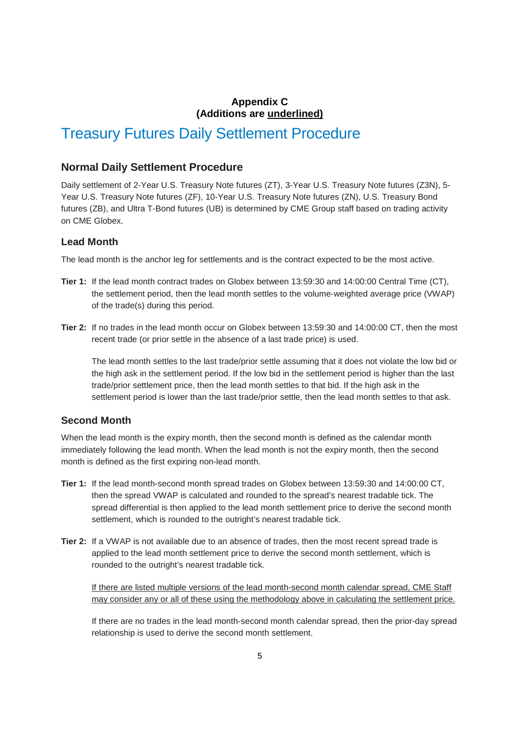#### **Appendix C (Additions are underlined)**

# Treasury Futures Daily Settlement Procedure

#### **Normal Daily Settlement Procedure**

Daily settlement of 2-Year U.S. Treasury Note futures (ZT), 3-Year U.S. Treasury Note futures (Z3N), 5- Year U.S. Treasury Note futures (ZF), 10-Year U.S. Treasury Note futures (ZN), U.S. Treasury Bond futures (ZB), and Ultra T-Bond futures (UB) is determined by CME Group staff based on trading activity on CME Globex.

#### **Lead Month**

The lead month is the anchor leg for settlements and is the contract expected to be the most active.

- **Tier 1:** If the lead month contract trades on Globex between 13:59:30 and 14:00:00 Central Time (CT), the settlement period, then the lead month settles to the volume-weighted average price (VWAP) of the trade(s) during this period.
- **Tier 2:** If no trades in the lead month occur on Globex between 13:59:30 and 14:00:00 CT, then the most recent trade (or prior settle in the absence of a last trade price) is used.

The lead month settles to the last trade/prior settle assuming that it does not violate the low bid or the high ask in the settlement period. If the low bid in the settlement period is higher than the last trade/prior settlement price, then the lead month settles to that bid. If the high ask in the settlement period is lower than the last trade/prior settle, then the lead month settles to that ask.

#### **Second Month**

When the lead month is the expiry month, then the second month is defined as the calendar month immediately following the lead month. When the lead month is not the expiry month, then the second month is defined as the first expiring non-lead month.

- **Tier 1:** If the lead month-second month spread trades on Globex between 13:59:30 and 14:00:00 CT, then the spread VWAP is calculated and rounded to the spread's nearest tradable tick. The spread differential is then applied to the lead month settlement price to derive the second month settlement, which is rounded to the outright's nearest tradable tick.
- **Tier 2:** If a VWAP is not available due to an absence of trades, then the most recent spread trade is applied to the lead month settlement price to derive the second month settlement, which is rounded to the outright's nearest tradable tick.

If there are listed multiple versions of the lead month-second month calendar spread, CME Staff may consider any or all of these using the methodology above in calculating the settlement price.

If there are no trades in the lead month-second month calendar spread, then the prior-day spread relationship is used to derive the second month settlement.